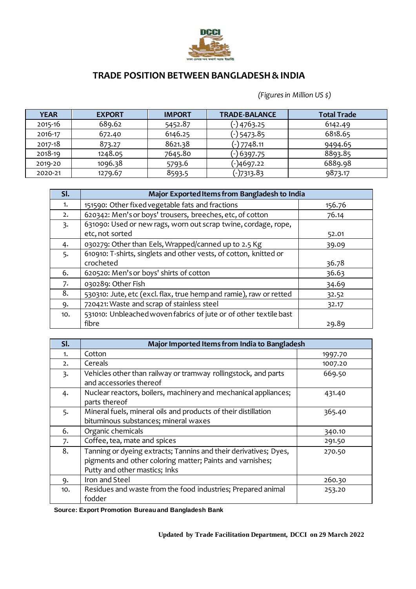

## **TRADE POSITION BETWEEN BANGLADESH & INDIA**

 *(Figures in Million US \$)*

| <b>YEAR</b> | <b>EXPORT</b> | <b>IMPORT</b> | <b>TRADE-BALANCE</b> | <b>Total Trade</b> |
|-------------|---------------|---------------|----------------------|--------------------|
| 2015-16     | 689.62        | 5452.87       | (-) 4763.25          | 6142.49            |
| 2016-17     | 672.40        | 6146.25       | (-) 5473.85          | 6818.65            |
| 2017-18     | 873.27        | 8621.38       | (-) 7748.11          | 9494.65            |
| 2018-19     | 1248.05       | 7645.80       | (-) 6397.75          | 8893.85            |
| 2019-20     | 1096.38       | 5793.6        | (-)4697.22           | 6889.98            |
| 2020-21     | 1279.67       | 8593.5        | (-)7313.83           | 9873.17            |

| SI. | Major Exported Items from Bangladesh to India                      |        |  |  |
|-----|--------------------------------------------------------------------|--------|--|--|
| 1.  | 151590: Other fixed vegetable fats and fractions                   | 156.76 |  |  |
| 2.  | 620342: Men's or boys' trousers, breeches, etc, of cotton          | 76.14  |  |  |
| 3.  | 631090: Used or new rags, worn out scrap twine, cordage, rope,     |        |  |  |
|     | etc, not sorted                                                    | 52.01  |  |  |
| 4.  | 030279: Other than Eels, Wrapped/canned up to 2.5 Kg               | 39.09  |  |  |
| 5.  | 610910: T-shirts, singlets and other vests, of cotton, knitted or  |        |  |  |
|     | crocheted                                                          | 36.78  |  |  |
| 6.  | 620520: Men's or boys' shirts of cotton                            | 36.63  |  |  |
| 7.  | 030289: Other Fish                                                 | 34.69  |  |  |
| 8.  | 530310: Jute, etc (excl. flax, true hemp and ramie), raw or retted | 32.52  |  |  |
| 9.  | 720421: Waste and scrap of stainless steel                         | 32.17  |  |  |
| 10. | 531010: Unbleached woven fabrics of jute or of other textile bast  |        |  |  |
|     | fibre                                                              | 29.89  |  |  |

| SI. | Major Imported Items from India to Bangladesh                    |         |  |  |  |
|-----|------------------------------------------------------------------|---------|--|--|--|
| 1.  | Cotton                                                           | 1997.70 |  |  |  |
| 2.  | Cereals                                                          | 1007.20 |  |  |  |
| 3.  | Vehicles other than railway or tramway rollingstock, and parts   | 669.50  |  |  |  |
|     | and accessories thereof                                          |         |  |  |  |
| 4.  | Nuclear reactors, boilers, machinery and mechanical appliances;  | 431.40  |  |  |  |
|     | parts thereof                                                    |         |  |  |  |
| 5.  | Mineral fuels, mineral oils and products of their distillation   | 365.40  |  |  |  |
|     | bituminous substances; mineral waxes                             |         |  |  |  |
| 6.  | Organic chemicals                                                | 340.10  |  |  |  |
| 7.  | Coffee, tea, mate and spices                                     | 291.50  |  |  |  |
| 8.  | Tanning or dyeing extracts; Tannins and their derivatives; Dyes, | 270.50  |  |  |  |
|     | pigments and other coloring matter; Paints and varnishes;        |         |  |  |  |
|     | Putty and other mastics; Inks                                    |         |  |  |  |
| 9.  | Iron and Steel                                                   | 260.30  |  |  |  |
| 10. | Residues and waste from the food industries; Prepared animal     | 253.20  |  |  |  |
|     | fodder                                                           |         |  |  |  |

**Source: Export Promotion Bureau and Bangladesh Bank**